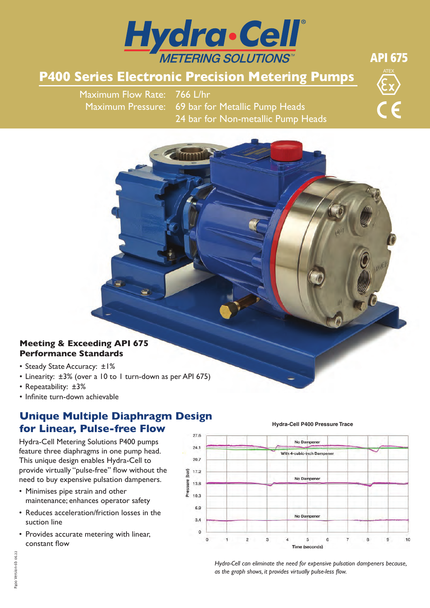

# **P400 Series Electronic Precision Metering Pumps**

Maximum Flow Rate: 766 L/hr Maximum Pressure: 69 bar for Metallic Pump Heads 24 bar for Non-metallic Pump Heads



API 675

### **Meeting & Exceeding API 675 Performance Standards**

- Steady State Accuracy: ±1%
- Linearity: ±3% (over a 10 to 1 turn-down as per API 675)
- Repeatability: ±3%
- Infinite turn-down achievable

## **Unique Multiple Diaphragm Design for Linear, Pulse-free Flow**

Hydra-Cell Metering Solutions P400 pumps feature three diaphragms in one pump head. This unique design enables Hydra-Cell to provide virtually "pulse-free" flow without the need to buy expensive pulsation dampeners.

- Minimises pipe strain and other maintenance; enhances operator safety
- Reduces acceleration/friction losses in the suction line
- Provides accurate metering with linear, constant flow

**Hydra-Cell P400 Pressure Trace**



*Hydra-Cell can eliminate the need for expensive pulsation dampeners because, as the graph shows, it provides virtually pulse-less flow.*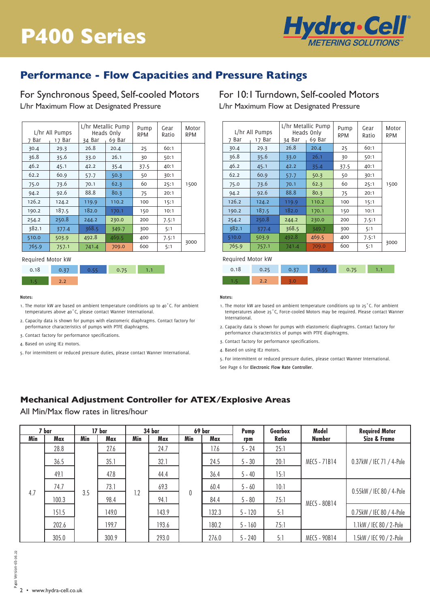

## **Performance - Flow Capacities and Pressure Ratings**

For Synchronous Speed, Self-cooled Motors L/hr Maximum Flow at Designated Pressure

| Bar<br>7 | L/hr Metallic Pump<br>L/hr All Pumps<br>Heads Only<br>34 Bar<br>69 Bar<br>17 Bar |       | Pump<br>RPM | Gear<br>Ratio | Motor<br><b>RPM</b> |      |
|----------|----------------------------------------------------------------------------------|-------|-------------|---------------|---------------------|------|
| 30.4     | 29.3                                                                             | 26.8  | 20.4        | 25            | 60:1                |      |
| 36.8     | 35.6                                                                             | 33.0  | 26.1        | 30            | 50:1                |      |
| 46.2     | 45.1                                                                             | 42.2  | 35.4        | 37.5          | 40:1                |      |
| 62.2     | 60.9                                                                             | 57.7  | 50.3        | 50            | 30:1                |      |
| 75.0     | 73.6                                                                             | 70.1  | 62.3        | 60            | 25:1                | 1500 |
| 94.2     | 92.6                                                                             | 88.8  | 80.3        | 75            | 20:1                |      |
| 126.2    | 124.2                                                                            | 119.9 | 110.2       | 100           | 15:1                |      |
| 190.2    | 187.5                                                                            | 182.0 | 170.1       | 150           | 10:1                |      |
| 254.2    | 250.8                                                                            | 244.2 | 230.0       | 200           | 7.5:1               |      |
| 382.1    | 377.4                                                                            | 368.5 | 349.7       | 300           | 5:1                 |      |
| 510.0    | 503.9                                                                            | 492.8 | 469.5       | 400           | 7.5:1               |      |
| 765.9    | 757.1                                                                            | 741.4 | 709.0       | 600           | 5:1                 | 3000 |

### Required Motor kW



#### **Notes:**

- 1. The motor kW are based on ambient temperature conditions up to 40°C. For ambient temperatures above 40˚C, please contact Wanner International.
- 2. Capacity data is shown for pumps with elastomeric diaphragms. Contact factory for performance characteristics of pumps with PTFE diaphragms.
- 3. Contact factory for performance specifications.
- 4. Based on using IE2 motors.
- 5. For intermittent or reduced pressure duties, please contact Wanner International.<br>. L/hr All Pumps Heads Only Pump

### For 10:1 Turndown, Self-cooled Motors L/hr Maximum Flow at Designated Pressure

| L/hr All Pumps<br>Bar<br>17 Bar<br>7 |       | L/hr Metallic Pump<br>Heads Only<br>34 Bar<br>69 Bar |       | Pump<br>RPM | Gear<br>Ratio | Motor<br><b>RPM</b> |
|--------------------------------------|-------|------------------------------------------------------|-------|-------------|---------------|---------------------|
| 30.4                                 | 29.3  | 26.8                                                 | 20.4  | 25          | 60:1          |                     |
| 36.8                                 | 35.6  | 33.0                                                 | 26.1  | 30          | 50:1          |                     |
| 46.2                                 | 45.1  | 42.2                                                 | 35.4  | 37.5        | 40:1          |                     |
| 62.2                                 | 60.9  | 57.7                                                 | 50.3  | 50          | 30:1          |                     |
| 75.0                                 | 73.6  | 70.1                                                 | 62.3  | 60          | 25:1          | 1500                |
| 94.2                                 | 92.6  | 88.8                                                 | 80.3  | 75          | 20:1          |                     |
| 126.2                                | 124.2 | 119.9                                                | 110.2 | 100         | 15:1          |                     |
| 190.2                                | 187.5 | 182.0                                                | 170.1 | 150         | 10:1          |                     |
| 254.2                                | 250.8 | 244.2                                                | 230.0 | 200         | 7.5:1         |                     |
| 382.1                                | 377.4 | 368.5                                                | 349.7 | 300         | 5:1           |                     |
| 510.0                                | 503.9 | 492.8                                                | 469.5 | 400         | 7.5:1         |                     |
| 765.9                                | 757.1 | 741.4                                                | 709.0 | 600         | 5:1           | 3000                |

#### Required Motor kW

| 0.18 | 0.25 | $\bullet$ 0.37 | 1.75 |  |
|------|------|----------------|------|--|
| m    |      |                |      |  |

#### **Notes:**

- 1. The motor kW are based on ambient temperature conditions up to 25°C. For ambient temperatures above 25˚C, Force-cooled Motors may be required. Please contact Wanner International.
- 2. Capacity data is shown for pumps with elastomeric diaphragms. Contact factory for performance characteristics of pumps with PTFE diaphragms.
- 3. Contact factory for performance specifications.
- 4. Based on using IE2 motors.
- 5. For intermittent or reduced pressure duties, please contact Wanner International.

See Page 6 for **Electronic Flow Rate Controller**.

### $\frac{1}{2}$ .  $\frac{1}{2}$ .  $\frac{1}{2}$ .  $\frac{1}{2}$ .  $\frac{1}{2}$ .  $\frac{1}{2}$ .  $\frac{1}{2}$ .  $\frac{1}{2}$ .  $\frac{1}{2}$ .  $\frac{1}{2}$ .  $\frac{1}{2}$ .  $\frac{1}{2}$ .  $\frac{1}{2}$ .  $\frac{1}{2}$ .  $\frac{1}{2}$ .  $\frac{1}{2}$ .  $\frac{1}{2}$ .  $\frac{1}{2}$ .  $\frac{1}{2}$ .  $\frac{1}{2}$ . 62.2 60.9 57.7 50.3 50 30:1 **Mechanical Adjustment Controller for ATEX/Explosive Areas**

All Min/Max flow rates in litres/hour

|     | 7 bar               |      | 17 bar |      | 34 bar   |      | 69 bar   | Pump      | Gearbox      | Model         | <b>Required Motor</b>    |
|-----|---------------------|------|--------|------|----------|------|----------|-----------|--------------|---------------|--------------------------|
| Min | Max                 | Min  | Max    | Min  | Max      | Min  | Max      | rpm       | Ratio        | <b>Number</b> | <b>Size &amp; Frame</b>  |
|     | 28.8                |      | 27.6   |      | 24.7     |      | 17.6     | $5 - 24$  | 25:1         |               |                          |
|     | 36.5                |      | 35.1   |      | 32.1     |      | 24.5     | $5 - 30$  | 20:1         | MEC5 - 71B14  | 0.37kW / IEC 71 / 4-Pole |
|     | 49.1                |      | 47.8   |      | 44.4     |      | 36.4     | $5 - 40$  | 15:1         |               |                          |
|     | 74.7                |      | 73.1   |      | 69.3     |      | 60.4     | $5 - 60$  | 10:1         |               | 0.55kW / IEC 80 / 4-Pole |
|     | 4.7<br>3.5<br>100.3 | 98.4 | 1.2    | 94.1 | $\theta$ | 84.4 | $5 - 80$ | 7.5:1     | MEC5 - 80B14 |               |                          |
|     | 151.5               |      | 149.0  |      | 143.9    |      | 132.3    | $5 - 120$ | 5:1          |               | 0.75kW / IEC 80 / 4-Pole |
|     | 202.6               |      | 199.7  |      | 193.6    |      | 180.2    | $5 - 160$ | 7.5:1        |               | 1.1kW / IEC 80 / 2-Pole  |
|     | 305.0               |      | 300.9  |      | 293.0    |      | 276.0    | $5 - 240$ | 5:1          | MEC5 - 90B14  | 1.5kW / IEC 90 / 2-Pole  |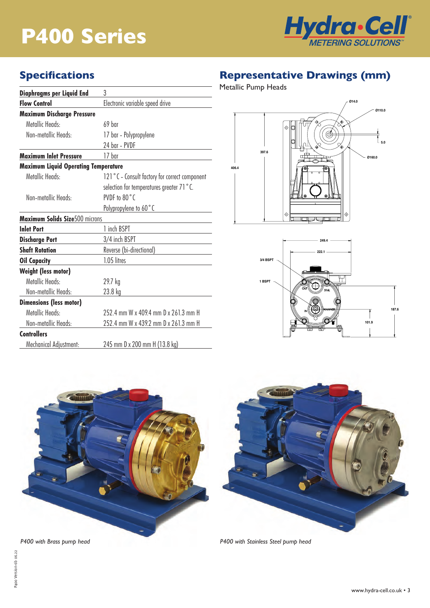# **P400 Series**



## **Specifications**

| Diaphragms per Liquid End                   | 3                                             |  |  |
|---------------------------------------------|-----------------------------------------------|--|--|
| <b>Flow Control</b>                         | Electronic variable speed drive               |  |  |
| <b>Maximum Discharge Pressure</b>           |                                               |  |  |
| Metallic Heads:                             | $69$ har                                      |  |  |
| Non-metallic Heads:                         | 17 bar - Polypropylene                        |  |  |
|                                             | 24 bar - PVDF                                 |  |  |
| <b>Maximum Inlet Pressure</b>               | 17 bar                                        |  |  |
| <b>Maximum Liquid Operating Temperature</b> |                                               |  |  |
| Metallic Heads:                             | 121°C - Consult factory for correct component |  |  |
|                                             | selection for temperatures greater 71 °C.     |  |  |
| Non-metallic Heads:                         | PVDF to 80°C                                  |  |  |
|                                             | Polypropylene to 60°C                         |  |  |
| <b>Maximum Solids Size500 microns</b>       |                                               |  |  |
| <b>Inlet Port</b>                           | 1 inch BSPT                                   |  |  |
| <b>Discharge Port</b>                       | 3/4 inch BSPT                                 |  |  |
| <b>Shaft Rotation</b>                       | Reverse (bi-directional)                      |  |  |
| <b>Oil Capacity</b>                         | 1.05 litres                                   |  |  |
| <b>Weight (less motor)</b>                  |                                               |  |  |
| Metallic Heads:                             | 29.7 kg                                       |  |  |
| Non-metallic Heads:                         | 23.8 kg                                       |  |  |
| <b>Dimensions (less motor)</b>              |                                               |  |  |
| Metallic Heads:                             | 252.4 mm W x 409.4 mm D x 261.3 mm H          |  |  |
| Non-metallic Heads:                         | 252.4 mm W x 439.2 mm D x 261.3 mm H          |  |  |
| <b>Controllers</b>                          |                                               |  |  |
| Mechanical Adjustment:                      | 245 mm D x 200 mm H (13.8 kg)                 |  |  |

# **Representative Drawings (mm)**

Metallic Pump Heads





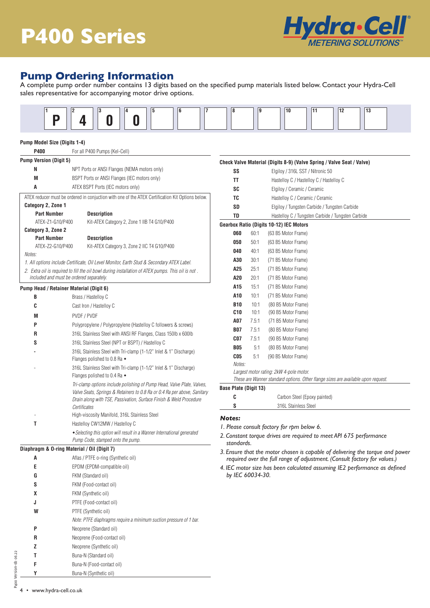

## **Pump Ordering Information**

A complete pump order number contains 13 digits based on the specified pump materials listed below. Contact your Hydra-Cell sales representative for accompanying motor drive options.



### **Pump Model Size (Digits 1-4)**

| P400                          | For all P400 Pumps (Kel-Cell)                                                                                |                              |       |                                                                                   |
|-------------------------------|--------------------------------------------------------------------------------------------------------------|------------------------------|-------|-----------------------------------------------------------------------------------|
| <b>Pump Version (Digit 5)</b> |                                                                                                              |                              |       | Check Valve Material (Digits 8-9) (Valve Spring / Valve Seat / Valve)             |
| N                             | NPT Ports or ANSI Flanges (NEMA motors only)                                                                 | SS                           |       | Elgiloy / 316L SST / Nitronic 50                                                  |
| M                             | BSPT Ports or ANSI Flanges (IEC motors only)                                                                 | TT                           |       | Hastelloy C / Hastelloy C / Hastelloy C                                           |
| A                             | ATEX BSPT Ports (IEC motors only)                                                                            | SC                           |       | Elgiloy / Ceramic / Ceramic                                                       |
|                               | ATEX reducer must be ordered in conjuction with one of the ATEX Certification Kit Options below.             | TC                           |       | Hastelloy C / Ceramic / Ceramic                                                   |
| Category 2, Zone 1            |                                                                                                              | SD                           |       | Elgiloy / Tungsten Carbide / Tungsten Carbide                                     |
| <b>Part Number</b>            | <b>Description</b>                                                                                           | TD                           |       | Hastelloy C / Tungsten Carbide / Tungsten Carbide                                 |
| ATEX-Z1-G10/P400              | Kit-ATEX Category 2, Zone 1 IIB T4 G10/P400                                                                  |                              |       | Gearbox Ratio (Digits 10-12) IEC Motors                                           |
| Category 3, Zone 2            |                                                                                                              | 060                          | 60:1  | (63 B5 Motor Frame)                                                               |
| <b>Part Number</b>            | <b>Description</b>                                                                                           | 050                          | 50:1  | (63 B5 Motor Frame)                                                               |
| ATEX-Z2-G10/P400<br>Notes:    | Kit-ATEX Category 3, Zone 2 IIC T4 G10/P400                                                                  | 040                          | 40:1  | (63 B5 Motor Frame)                                                               |
|                               | 1. All options include Certificate, Oil Level Monitor, Earth Stud & Secondary ATEX Label.                    | A30                          | 30:1  | (71 B5 Motor Frame)                                                               |
|                               | 2. Extra oil is required to fill the oil bowl during installation of ATEX pumps. This oil is not.            | A25                          | 25:1  | (71 B5 Motor Frame)                                                               |
|                               | included and must be ordered separately.                                                                     | A20                          | 20:1  | (71 B5 Motor Frame)                                                               |
|                               | Pump Head / Retainer Material (Digit 6)                                                                      | A15                          | 15:1  | (71 B5 Motor Frame)                                                               |
| В                             | Brass / Hastelloy C                                                                                          | A10                          | 10:1  | (71 B5 Motor Frame)                                                               |
| C                             | Cast Iron / Hastelloy C                                                                                      | <b>B10</b>                   | 10:1  | (80 B5 Motor Frame)                                                               |
|                               |                                                                                                              | C10                          | 10:1  | (90 B5 Motor Frame)                                                               |
| M                             | PVDF / PVDF                                                                                                  | A07                          | 7.5:1 | (71 B5 Motor Frame)                                                               |
| P                             | Polypropylene / Polypropylene (Hastelloy C followers & screws)                                               | <b>B07</b>                   | 7.5:1 | (80 B5 Motor Frame)                                                               |
| R                             | 316L Stainless Steel with ANSI RF Flanges, Class 150lb x 600lb                                               | CO7                          | 7.5:1 | (90 B5 Motor Frame)                                                               |
| S                             | 316L Stainless Steel (NPT or BSPT) / Hastelloy C                                                             | <b>B05</b>                   | 5:1   | (80 B5 Motor Frame)                                                               |
|                               | 316L Stainless Steel with Tri-clamp (1-1/2" Inlet & 1" Discharge)<br>Flanges polished to 0.8 Ra •            | C <sub>05</sub>              | 5:1   | (90 B5 Motor Frame)                                                               |
|                               | 316L Stainless Steel with Tri-clamp (1-1/2" Inlet & 1" Discharge)                                            | Notes:                       |       |                                                                                   |
|                               | Flanges polished to 0.4 Ra ◆                                                                                 |                              |       | Largest motor rating: 2kW 4-pole motor.                                           |
|                               | Tri-clamp options include polishing of Pump Head, Valve Plate, Valves,                                       |                              |       | These are Wanner standard options. Other flange sizes are available upon request. |
|                               | Valve Seats, Springs & Retainers to 0.8 Ra or 0.4 Ra per above, Sanitary                                     | <b>Base Plate (Digit 13)</b> |       |                                                                                   |
|                               | Drain along with TSE, Passivation, Surface Finish & Weld Procedure                                           | C                            |       | Carbon Steel (Epoxy painted)                                                      |
|                               | Certificates                                                                                                 | S                            |       | 316L Stainless Steel                                                              |
|                               | High-viscosity Manifold, 316L Stainless Steel                                                                | <b>Notes:</b>                |       |                                                                                   |
| T                             | Hastelloy CW12MW / Hastelloy C                                                                               |                              |       | I. Please consult factory for rpm below 6.                                        |
|                               | • Selecting this option will result in a Wanner International generated<br>Pump Code, stamped onto the pump. | standards.                   |       | 2. Constant torque drives are required to meet API 675 performance                |
|                               | Diaphragm & O-ring Material / Oil (Digit 7)                                                                  |                              |       | 3. Ensure that the motor chosen is capable of delivering the torque and power     |
| A                             | Aflas / PTFE o-ring (Synthetic oil)                                                                          |                              |       | required over the full range of adjustment. (Consult factory for values.)         |
| E                             | EPDM (EPDM-compatible oil)                                                                                   |                              |       | 4. IEC motor size has been calculated assuming IE2 performance as defined         |
| G                             | FKM (Standard oil)                                                                                           | by IEC 60034-30.             |       |                                                                                   |
| S                             | FKM (Food-contact oil)                                                                                       |                              |       |                                                                                   |
| χ                             | FKM (Synthetic oil)                                                                                          |                              |       |                                                                                   |
| J                             | PTFE (Food-contact oil)                                                                                      |                              |       |                                                                                   |
| W                             | PTFE (Synthetic oil)                                                                                         |                              |       |                                                                                   |
|                               | Note: PTFE diaphragms require a minimum suction pressure of 1 bar.                                           |                              |       |                                                                                   |
| P                             | Neoprene (Standard oil)                                                                                      |                              |       |                                                                                   |
| R                             | Neoprene (Food-contact oil)                                                                                  |                              |       |                                                                                   |
| z                             | Neoprene (Synthetic oil)                                                                                     |                              |       |                                                                                   |
| T                             | Buna-N (Standard oil)                                                                                        |                              |       |                                                                                   |
|                               |                                                                                                              |                              |       |                                                                                   |
| F                             | Buna-N (Food-contact oil)                                                                                    |                              |       |                                                                                   |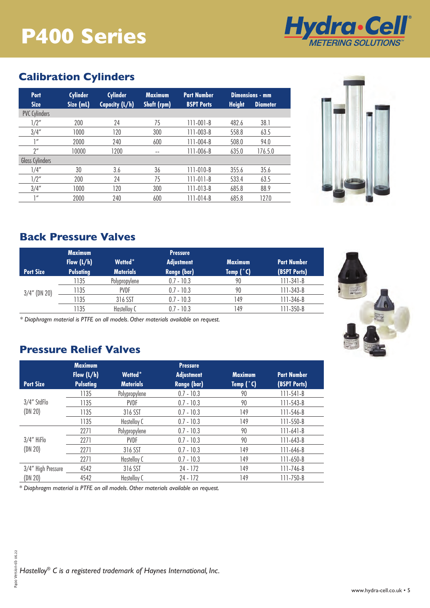# **P400 Series**



# **Calibration Cylinders**

| <b>Port</b>          | <b>Cylinder</b> | <b>Cylinder</b> | <b>Maximum</b>     | <b>Part Number</b> |               | Dimensions - mm |
|----------------------|-----------------|-----------------|--------------------|--------------------|---------------|-----------------|
| <b>Size</b>          | Size (mL)       | Capacity (L/h)  | <b>Shaft (rpm)</b> | <b>BSPT Ports</b>  | <b>Height</b> | <b>Diameter</b> |
| <b>PVC Cylinders</b> |                 |                 |                    |                    |               |                 |
| 1/2"                 | 200             | 24              | 75                 | $111 - 001 - B$    | 482.6         | 38.1            |
| 3/4''                | 1000            | 120             | 300                | $111 - 003 - B$    | 558.8         | 63.5            |
| 1''                  | 2000            | 240             | 600                | 111-004-B          | 508.0         | 94.0            |
| $2^{\prime\prime}$   | 10000           | 1200            | $- -$              | 111-006-B          | 635.0         | 176.5.0         |
| Glass Cylinders      |                 |                 |                    |                    |               |                 |
| 1/4''                | 30              | 3.6             | 36                 | $111 - 010 - B$    | 355.6         | 35.6            |
| 1/2"                 | 200             | 24              | 75                 | $111 - 011 - B$    | 533.4         | 63.5            |
| 3/4''                | 1000            | 120             | 300                | $111 - 013 - B$    | 685.8         | 88.9            |
| 1''                  | 2000            | 240             | 600                | 111-014-B          | 685.8         | 127.0           |



## **Back Pressure Valves**

|                  | <b>Maximum</b>   |                  | <b>Pressure</b>    |                |                    |
|------------------|------------------|------------------|--------------------|----------------|--------------------|
|                  | Flow $(L/h)$     | Wetted*          | <b>Adjustment</b>  | <b>Maximum</b> | <b>Part Number</b> |
| <b>Port Size</b> | <b>Pulsating</b> | <b>Materials</b> | <b>Range (bar)</b> | Temp $(°C)$    | (BSPT Ports)       |
|                  | 135              | Polypropylene    | $0.7 - 10.3$       | 90             | $111 - 341 - B$    |
| $3/4''$ (DN 20)  | 1135             | <b>PVDF</b>      | $0.7 - 10.3$       | 90             | $111 - 343 - B$    |
|                  | 135              | 316 SST          | $0.7 - 10.3$       | 149            | 111-346-B          |
|                  | 135              | Hastelloy C      | $0.7 - 10.3$       | 49             | $111 - 350 - B$    |

*\* Diaphragm material is PTFE on all models. Other materials available on request.*

## **Pressure Relief Valves**

|                    | <b>Maximum</b>   |                     | <b>Pressure</b>    |                |                    |  |
|--------------------|------------------|---------------------|--------------------|----------------|--------------------|--|
|                    | Flow $(L/h)$     | Wetted <sup>*</sup> | <b>Adjustment</b>  | <b>Maximum</b> | <b>Part Number</b> |  |
| <b>Port Size</b>   | <b>Pulsating</b> | <b>Materials</b>    | <b>Range (bar)</b> | Temp $(°C)$    | (BSPT Ports)       |  |
|                    | 1135             | Polypropylene       | $0.7 - 10.3$       | 90             | $111 - 541 - B$    |  |
| 3/4" StdFlo        | 1135             | <b>PVDF</b>         | $0.7 - 10.3$       | 90             | 111-543-B          |  |
| (DN 20)            | 1135             | 316 SST             | $0.7 - 10.3$       | 149            | 111-546-B          |  |
|                    | 1135             | Hastelloy C         | $0.7 - 10.3$       | 149            | $111 - 550 - B$    |  |
|                    | 2271             | Polypropylene       | $0.7 - 10.3$       | 90             | 111-641-B          |  |
| 3/4" HiFlo         | 2271             | <b>PVDF</b>         | $0.7 - 10.3$       | 90             | 111-643-B          |  |
| (DN 20)            | 2271             | 316 SST             | $0.7 - 10.3$       | 149            | 111-646-B          |  |
|                    | 2271             | Hastelloy C         | $0.7 - 10.3$       | 149            | $111 - 650 - B$    |  |
| 3/4" High Pressure | 4542             | 316 SST             | 24 - 172           | 149            | 111-746-B          |  |
| (DN 20)            | 4542             | Hastelloy C         | 24 - 172           | 149            | 111-750-B          |  |

*\* Diaphragm material is PTFE on all models. Other materials available on request.*

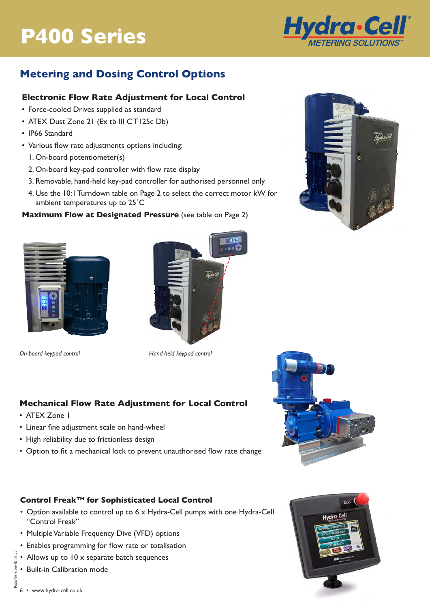# **P300 Series P400 Series**



## **Metering and Dosing Control Options**

### **Electronic Flow Rate Adjustment for Local Control**

- Force-cooled Drives supplied as standard
- ATEX Dust Zone 21 (Ex tb III CT125c Db)
- IP66 Standard
- Various flow rate adjustments options including:
	- 1. On-board potentiometer(s)
	- 2. On-board key-pad controller with flow rate display
	- 3. Removable, hand-held key-pad controller for authorised personnel only
	- 4. Use the 10:1 Turndown table on Page 2 to select the correct motor kW for ambient temperatures up to 25˚C

### **Maximum Flow at Designated Pressure** (see table on Page 2)





*On-board keypad control Hand-held keypad control*

## **Mechanical Flow Rate Adjustment for Local Control**

- ATEX Zone 1
- Linear fine adjustment scale on hand-wheel
- High reliability due to frictionless design
- Option to fit a mechanical lock to prevent unauthorised flow rate change

### **Control FreakTM for Sophisticated Local Control**

- Option available to control up to 6 x Hydra-Cell pumps with one Hydra-Cell "Control Freak"
- Multiple Variable Frequency Dive (VFD) options
- Enables programming for flow rate or totalisation
- Allows up to 10 x separate batch sequences
- Built-in Calibration mode





P400 Version-6b 06.22

P400 Version-6b 06.22